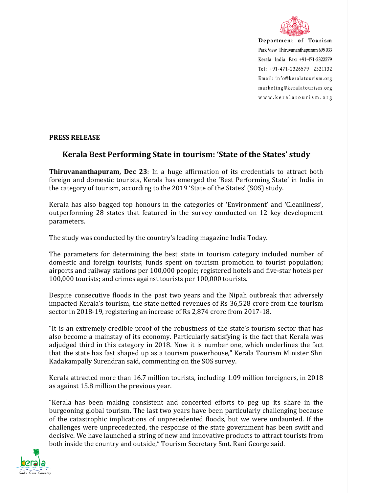

Department of Tourism Park View Thiruvananthapuram 695 033 Kerala India Fax: +91-471-2322279 Tel: +91-471-2326579 2321132 Email: info@keralatourism.org marketing@keralatourism.org www.keralatourism.org

## **PRESS RELEASE**

## **Kerala Best Performing State in tourism: 'State of the States' study**

**Thiruvananthapuram, Dec 23**: In a huge affirmation of its credentials to attract both foreign and domestic tourists, Kerala has emerged the 'Best Performing State' in India in the category of tourism, according to the 2019 'State of the States' (SOS) study.

Kerala has also bagged top honours in the categories of 'Environment' and 'Cleanliness', outperforming 28 states that featured in the survey conducted on 12 key development parameters.

The study was conducted by the country's leading magazine India Today.

The parameters for determining the best state in tourism category included number of domestic and foreign tourists; funds spent on tourism promotion to tourist population; airports and railway stations per 100,000 people; registered hotels and five-star hotels per 100,000 tourists; and crimes against tourists per 100,000 tourists.

Despite consecutive floods in the past two years and the Nipah outbreak that adversely impacted Kerala's tourism, the state netted revenues of Rs 36,528 crore from the tourism sector in 2018-19, registering an increase of Rs 2,874 crore from 2017-18.

"It is an extremely credible proof of the robustness of the state's tourism sector that has also become a mainstay of its economy. Particularly satisfying is the fact that Kerala was adjudged third in this category in 2018. Now it is number one, which underlines the fact that the state has fast shaped up as a tourism powerhouse," Kerala Tourism Minister Shri Kadakampally Surendran said, commenting on the SOS survey.

Kerala attracted more than 16.7 million tourists, including 1.09 million foreigners, in 2018 as against 15.8 million the previous year.

"Kerala has been making consistent and concerted efforts to peg up its share in the burgeoning global tourism. The last two years have been particularly challenging because of the catastrophic implications of unprecedented floods, but we were undaunted. If the challenges were unprecedented, the response of the state government has been swift and decisive. We have launched a string of new and innovative products to attract tourists from both inside the country and outside," Tourism Secretary Smt. Rani George said.